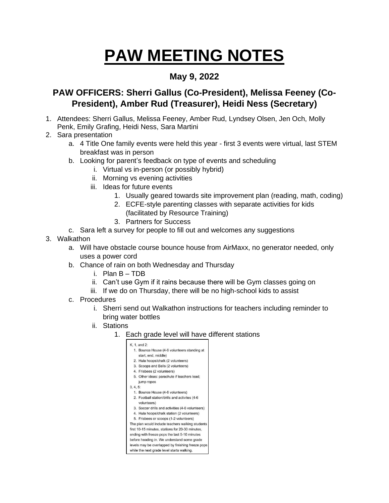## **PAW MEETING NOTES**

## **May 9, 2022**

## **PAW OFFICERS: Sherri Gallus (Co-President), Melissa Feeney (Co-President), Amber Rud (Treasurer), Heidi Ness (Secretary)**

- 1. Attendees: Sherri Gallus, Melissa Feeney, Amber Rud, Lyndsey Olsen, Jen Och, Molly Penk, Emily Grafing, Heidi Ness, Sara Martini
- 2. Sara presentation
	- a. 4 Title One family events were held this year first 3 events were virtual, last STEM breakfast was in person
	- b. Looking for parent's feedback on type of events and scheduling
		- i. Virtual vs in-person (or possibly hybrid)
		- ii. Morning vs evening activities
		- iii. Ideas for future events
			- 1. Usually geared towards site improvement plan (reading, math, coding)
			- 2. ECFE-style parenting classes with separate activities for kids (facilitated by Resource Training)
			- 3. Partners for Success
	- c. Sara left a survey for people to fill out and welcomes any suggestions
- 3. Walkathon
	- a. Will have obstacle course bounce house from AirMaxx, no generator needed, only uses a power cord
	- b. Chance of rain on both Wednesday and Thursday
		- i. Plan B TDB
		- ii. Can't use Gym if it rains because there will be Gym classes going on
		- iii. If we do on Thursday, there will be no high-school kids to assist
	- c. Procedures
		- i. Sherri send out Walkathon instructions for teachers including reminder to bring water bottles
		- ii. Stations
			- 1. Each grade level will have different stations

|          | 1. Bounce House (4-6 volunteers standing at                  |
|----------|--------------------------------------------------------------|
|          |                                                              |
|          | start, end, middle)                                          |
|          | 2. Hula hoops/chalk (2 volunteers)                           |
|          | 3. Scoops and Balls (2 volunteers)                           |
|          | 4. Frisbees (2 volunteers)                                   |
|          | 5. Other ideas: parachute if teachers lead;                  |
|          | jump ropes                                                   |
| 3, 4, 5: |                                                              |
|          | 1. Bounce House (4-6 volunteers)                             |
|          | 2. Football station/drills and activites (4-6<br>volunteers) |
|          | 3. Soccer drills and activities (4-6 volunteers)             |
|          | 4. Hula hoops/chalk station (2 volunteers)                   |
|          | 5. Frisbees or scoops (1-2 volunteers)                       |
|          | The plan would include teachers walking students             |
|          | first 10-15 minutes, stations for 20-30 minutes,             |
|          | ending with freeze pops the last 5-10 minutes                |
|          | before heading in. We understand some grade                  |
|          | levels may be overlapped by finishing freeze pops            |
|          |                                                              |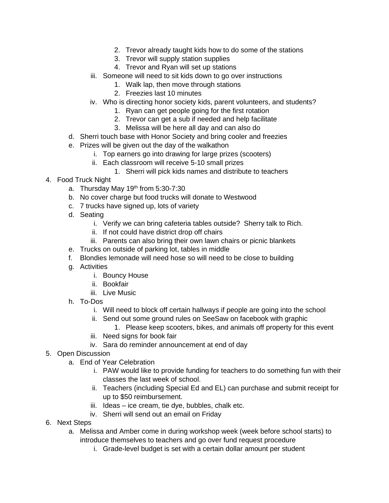- 2. Trevor already taught kids how to do some of the stations
- 3. Trevor will supply station supplies
- 4. Trevor and Ryan will set up stations
- iii. Someone will need to sit kids down to go over instructions
	- 1. Walk lap, then move through stations
	- 2. Freezies last 10 minutes
- iv. Who is directing honor society kids, parent volunteers, and students?
	- 1. Ryan can get people going for the first rotation
	- 2. Trevor can get a sub if needed and help facilitate
	- 3. Melissa will be here all day and can also do
- d. Sherri touch base with Honor Society and bring cooler and freezies
- e. Prizes will be given out the day of the walkathon
	- i. Top earners go into drawing for large prizes (scooters)
	- ii. Each classroom will receive 5-10 small prizes
		- 1. Sherri will pick kids names and distribute to teachers
- 4. Food Truck Night
	- a. Thursday May 19<sup>th</sup> from 5:30-7:30
	- b. No cover charge but food trucks will donate to Westwood
	- c. 7 trucks have signed up, lots of variety
	- d. Seating
		- i. Verify we can bring cafeteria tables outside? Sherry talk to Rich.
		- ii. If not could have district drop off chairs
		- iii. Parents can also bring their own lawn chairs or picnic blankets
	- e. Trucks on outside of parking lot, tables in middle
	- f. Blondies lemonade will need hose so will need to be close to building
	- g. Activities
		- i. Bouncy House
		- ii. Bookfair
		- iii. Live Music
	- h. To-Dos
		- i. Will need to block off certain hallways if people are going into the school
		- ii. Send out some ground rules on SeeSaw on facebook with graphic
			- 1. Please keep scooters, bikes, and animals off property for this event
		- iii. Need signs for book fair
		- iv. Sara do reminder announcement at end of day
- 5. Open Discussion
	- a. End of Year Celebration
		- i. PAW would like to provide funding for teachers to do something fun with their classes the last week of school.
		- ii. Teachers (including Special Ed and EL) can purchase and submit receipt for up to \$50 reimbursement.
		- iii. Ideas ice cream, tie dye, bubbles, chalk etc.
		- iv. Sherri will send out an email on Friday
- 6. Next Steps
	- a. Melissa and Amber come in during workshop week (week before school starts) to introduce themselves to teachers and go over fund request procedure
		- i. Grade-level budget is set with a certain dollar amount per student